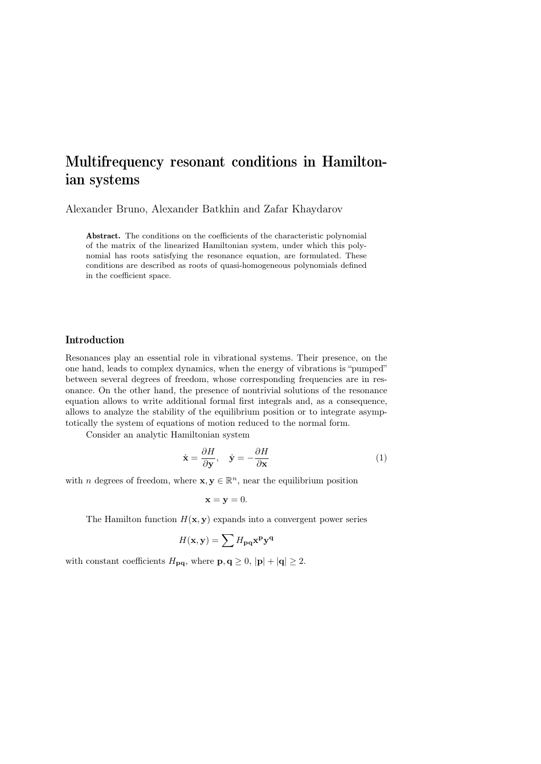# Multifrequency resonant conditions in Hamiltonian systems

Alexander Bruno, Alexander Batkhin and Zafar Khaydarov

Abstract. The conditions on the coefficients of the characteristic polynomial of the matrix of the linearized Hamiltonian system, under which this polynomial has roots satisfying the resonance equation, are formulated. These conditions are described as roots of quasi-homogeneous polynomials defined in the coefficient space.

## Introduction

Resonances play an essential role in vibrational systems. Their presence, on the one hand, leads to complex dynamics, when the energy of vibrations is "pumped" between several degrees of freedom, whose corresponding frequencies are in resonance. On the other hand, the presence of nontrivial solutions of the resonance equation allows to write additional formal first integrals and, as a consequence, allows to analyze the stability of the equilibrium position or to integrate asymptotically the system of equations of motion reduced to the normal form.

Consider an analytic Hamiltonian system

$$
\dot{\mathbf{x}} = \frac{\partial H}{\partial \mathbf{y}}, \quad \dot{\mathbf{y}} = -\frac{\partial H}{\partial \mathbf{x}} \tag{1}
$$

with *n* degrees of freedom, where  $\mathbf{x}, \mathbf{y} \in \mathbb{R}^n$ , near the equilibrium position

$$
\mathbf{x} = \mathbf{y} = 0.
$$

The Hamilton function  $H(\mathbf{x}, \mathbf{y})$  expands into a convergent power series

$$
H(\mathbf{x}, \mathbf{y}) = \sum H_{\mathbf{p}\mathbf{q}} \mathbf{x}^{\mathbf{p}} \mathbf{y}^{\mathbf{q}}
$$

with constant coefficients  $H_{\mathbf{p}\mathbf{q}}$ , where  $\mathbf{p}, \mathbf{q} \geq 0$ ,  $|\mathbf{p}| + |\mathbf{q}| \geq 2$ .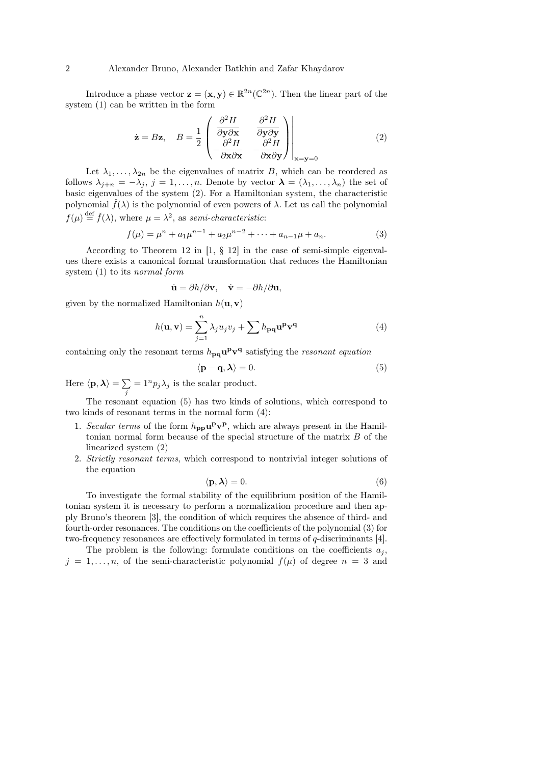#### 2 Alexander Bruno, Alexander Batkhin and Zafar Khaydarov

Introduce a phase vector  $\mathbf{z} = (\mathbf{x}, \mathbf{y}) \in \mathbb{R}^{2n}(\mathbb{C}^{2n})$ . Then the linear part of the system (1) can be written in the form

$$
\dot{\mathbf{z}} = B\mathbf{z}, \quad B = \frac{1}{2} \begin{pmatrix} \frac{\partial^2 H}{\partial \mathbf{y} \partial \mathbf{x}} & \frac{\partial^2 H}{\partial \mathbf{y} \partial \mathbf{y}} \\ -\frac{\partial^2 H}{\partial \mathbf{x} \partial \mathbf{x}} & -\frac{\partial^2 H}{\partial \mathbf{x} \partial \mathbf{y}} \end{pmatrix} \Big|_{\mathbf{x} = \mathbf{y} = 0}
$$
(2)

Let  $\lambda_1, \ldots, \lambda_{2n}$  be the eigenvalues of matrix B, which can be reordered as follows  $\lambda_{j+n} = -\lambda_j$ ,  $j = 1, \ldots, n$ . Denote by vector  $\lambda = (\lambda_1, \ldots, \lambda_n)$  the set of basic eigenvalues of the system (2). For a Hamiltonian system, the characteristic polynomial  $\check{f}(\lambda)$  is the polynomial of even powers of  $\lambda$ . Let us call the polynomial  $f(\mu) \stackrel{\text{def}}{=} \check{f}(\lambda)$ , where  $\mu = \lambda^2$ , as semi-characteristic:

$$
f(\mu) = \mu^{n} + a_1 \mu^{n-1} + a_2 \mu^{n-2} + \dots + a_{n-1} \mu + a_n.
$$
 (3)

According to Theorem 12 in [1, § 12] in the case of semi-simple eigenvalues there exists a canonical formal transformation that reduces the Hamiltonian system (1) to its normal form

$$
\dot{\mathbf{u}} = \partial h / \partial \mathbf{v}, \quad \dot{\mathbf{v}} = -\partial h / \partial \mathbf{u},
$$

given by the normalized Hamiltonian  $h(\mathbf{u}, \mathbf{v})$ 

$$
h(\mathbf{u}, \mathbf{v}) = \sum_{j=1}^{n} \lambda_j u_j v_j + \sum h_{\mathbf{p}\mathbf{q}} \mathbf{u}^{\mathbf{p}} \mathbf{v}^{\mathbf{q}}
$$
(4)

containing only the resonant terms  $h_{\mathbf{p}\mathbf{q}}\mathbf{u}^{\mathbf{p}}\mathbf{v}^{\mathbf{q}}$  satisfying the *resonant equation* 

$$
\langle \mathbf{p} - \mathbf{q}, \boldsymbol{\lambda} \rangle = 0. \tag{5}
$$

Here  $\langle \mathbf{p}, \boldsymbol{\lambda} \rangle = \sum$  $\sum_{j} = 1^{n} p_{j} \lambda_{j}$  is the scalar product.

The resonant equation (5) has two kinds of solutions, which correspond to two kinds of resonant terms in the normal form (4):

- 1. Secular terms of the form  $h_{\text{pp}}u^{\text{p}}v^{\text{p}}$ , which are always present in the Hamiltonian normal form because of the special structure of the matrix B of the linearized system (2)
- 2. Strictly resonant terms, which correspond to nontrivial integer solutions of the equation

$$
\langle \mathbf{p}, \boldsymbol{\lambda} \rangle = 0. \tag{6}
$$

To investigate the formal stability of the equilibrium position of the Hamiltonian system it is necessary to perform a normalization procedure and then apply Bruno's theorem [3], the condition of which requires the absence of third- and fourth-order resonances. The conditions on the coefficients of the polynomial (3) for two-frequency resonances are effectively formulated in terms of q-discriminants [4].

The problem is the following: formulate conditions on the coefficients  $a_i$ ,  $j = 1, \ldots, n$ , of the semi-characteristic polynomial  $f(\mu)$  of degree  $n = 3$  and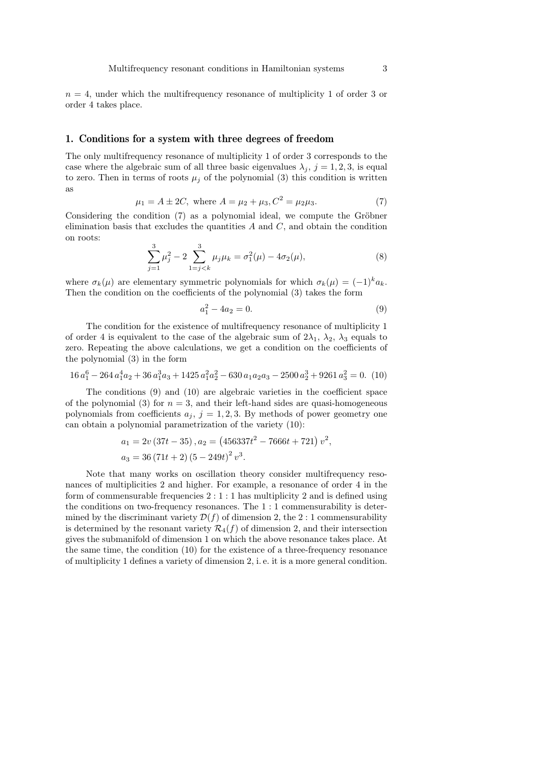$n = 4$ , under which the multifrequency resonance of multiplicity 1 of order 3 or order 4 takes place.

#### 1. Conditions for a system with three degrees of freedom

The only multifrequency resonance of multiplicity 1 of order 3 corresponds to the case where the algebraic sum of all three basic eigenvalues  $\lambda_j$ ,  $j = 1, 2, 3$ , is equal to zero. Then in terms of roots  $\mu_j$  of the polynomial (3) this condition is written as

$$
\mu_1 = A \pm 2C, \text{ where } A = \mu_2 + \mu_3, C^2 = \mu_2 \mu_3. \tag{7}
$$

Considering the condition (7) as a polynomial ideal, we compute the Gröbner elimination basis that excludes the quantities  $A$  and  $C$ , and obtain the condition on roots:

$$
\sum_{j=1}^{3} \mu_j^2 - 2 \sum_{1=j < k}^{3} \mu_j \mu_k = \sigma_1^2(\mu) - 4\sigma_2(\mu),\tag{8}
$$

where  $\sigma_k(\mu)$  are elementary symmetric polynomials for which  $\sigma_k(\mu) = (-1)^k a_k$ . Then the condition on the coefficients of the polynomial (3) takes the form

$$
a_1^2 - 4a_2 = 0.\t\t(9)
$$

The condition for the existence of multifrequency resonance of multiplicity 1 of order 4 is equivalent to the case of the algebraic sum of  $2\lambda_1$ ,  $\lambda_2$ ,  $\lambda_3$  equals to zero. Repeating the above calculations, we get a condition on the coefficients of the polynomial (3) in the form

$$
16 a_1^6 - 264 a_1^4 a_2 + 36 a_1^3 a_3 + 1425 a_1^2 a_2^2 - 630 a_1 a_2 a_3 - 2500 a_2^3 + 9261 a_3^2 = 0. \tag{10}
$$

The conditions (9) and (10) are algebraic varieties in the coefficient space of the polynomial (3) for  $n = 3$ , and their left-hand sides are quasi-homogeneous polynomials from coefficients  $a_j$ ,  $j = 1, 2, 3$ . By methods of power geometry one can obtain a polynomial parametrization of the variety (10):

$$
a_1 = 2v (37t - 35), a_2 = (456337t^2 - 7666t + 721) v^2,
$$
  

$$
a_3 = 36 (71t + 2) (5 - 249t)^2 v^3.
$$

Note that many works on oscillation theory consider multifrequency resonances of multiplicities 2 and higher. For example, a resonance of order 4 in the form of commensurable frequencies  $2:1:1$  has multiplicity 2 and is defined using the conditions on two-frequency resonances. The 1 : 1 commensurability is determined by the discriminant variety  $\mathcal{D}(f)$  of dimension 2, the 2 : 1 commensurability is determined by the resonant variety  $\mathcal{R}_4(f)$  of dimension 2, and their intersection gives the submanifold of dimension 1 on which the above resonance takes place. At the same time, the condition (10) for the existence of a three-frequency resonance of multiplicity 1 defines a variety of dimension 2, i. e. it is a more general condition.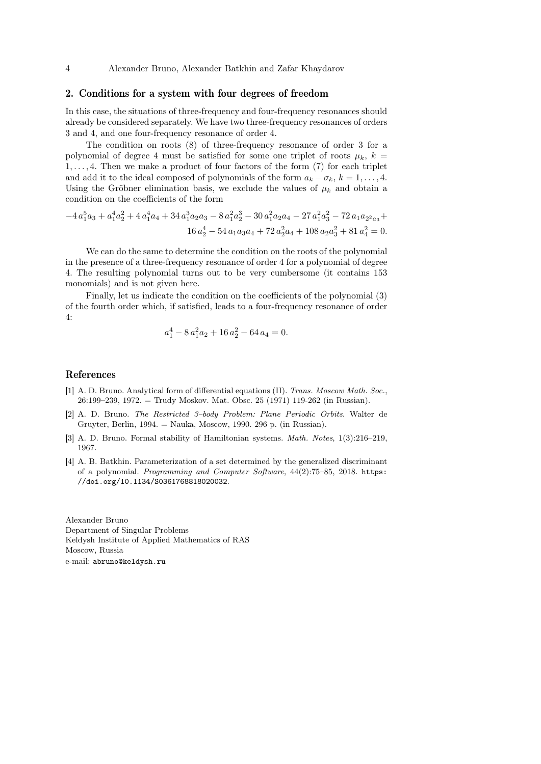4 Alexander Bruno, Alexander Batkhin and Zafar Khaydarov

### 2. Conditions for a system with four degrees of freedom

In this case, the situations of three-frequency and four-frequency resonances should already be considered separately. We have two three-frequency resonances of orders 3 and 4, and one four-frequency resonance of order 4.

The condition on roots (8) of three-frequency resonance of order 3 for a polynomial of degree 4 must be satisfied for some one triplet of roots  $u_k$ ,  $k =$  $1, \ldots, 4$ . Then we make a product of four factors of the form  $(7)$  for each triplet and add it to the ideal composed of polynomials of the form  $a_k - \sigma_k$ ,  $k = 1, \ldots, 4$ . Using the Gröbner elimination basis, we exclude the values of  $\mu_k$  and obtain a condition on the coefficients of the form

$$
\begin{aligned} -4\, a_1^5a_3+a_1^4a_2^2+4\, a_1^4a_4+34\, a_1^3a_2a_3-8\, a_1^2a_2^3-30\, a_1^2a_2a_4-27\, a_1^2a_3^2-72\, a_1a_2a_3+\\ \,16\, a_2^4-54\, a_1a_3a_4+72\, a_2^2a_4+108\, a_2a_3^2+81\, a_4^2=0. \end{aligned}
$$

We can do the same to determine the condition on the roots of the polynomial in the presence of a three-frequency resonance of order 4 for a polynomial of degree 4. The resulting polynomial turns out to be very cumbersome (it contains 153 monomials) and is not given here.

Finally, let us indicate the condition on the coefficients of the polynomial (3) of the fourth order which, if satisfied, leads to a four-frequency resonance of order 4:

$$
a_1^4 - 8a_1^2a_2 + 16a_2^2 - 64a_4 = 0.
$$

### References

- [1] A. D. Bruno. Analytical form of differential equations (II). Trans. Moscow Math. Soc., 26:199–239, 1972. = Trudy Moskov. Mat. Obsc. 25 (1971) 119-262 (in Russian).
- [2] A. D. Bruno. The Restricted 3–body Problem: Plane Periodic Orbits. Walter de Gruyter, Berlin, 1994. = Nauka, Moscow, 1990. 296 p. (in Russian).
- [3] A. D. Bruno. Formal stability of Hamiltonian systems. Math. Notes, 1(3):216–219, 1967.
- [4] A. B. Batkhin. Parameterization of a set determined by the generalized discriminant of a polynomial. Programming and Computer Software, 44(2):75–85, 2018. https: //doi.org/10.1134/S0361768818020032.

Alexander Bruno Department of Singular Problems Keldysh Institute of Applied Mathematics of RAS Moscow, Russia e-mail: abruno@keldysh.ru